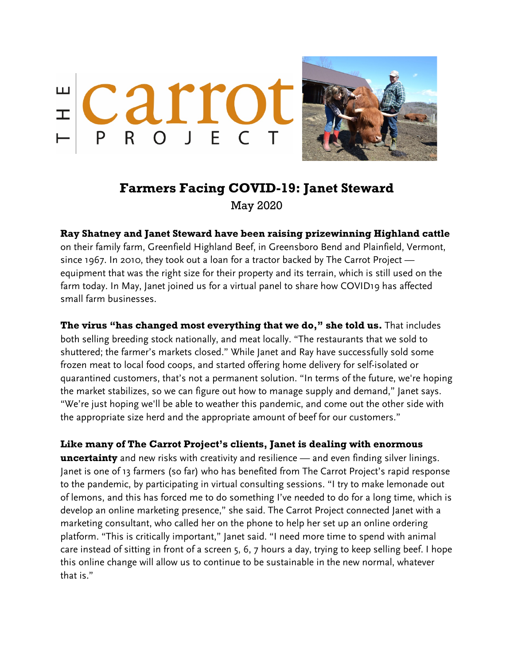



## **Farmers Facing COVID-19: Janet Steward**

May 2020

## **Ray Shatney and Janet Steward have been raising prizewinning Highland cattle**

on their family farm, Greenfield Highland Beef, in Greensboro Bend and Plainfield, Vermont, since 1967. In 2010, they took out a loan for a tractor backed by The Carrot Project equipment that was the right size for their property and its terrain, which is still used on the farm today. In May, Janet joined us for a virtual panel to share how COVID19 has affected small farm businesses.

**The virus "has changed most everything that we do," she told us.** That includes both selling breeding stock nationally, and meat locally. "The restaurants that we sold to shuttered; the farmer's markets closed." While Janet and Ray have successfully sold some frozen meat to local food coops, and started offering home delivery for self-isolated or quarantined customers, that's not a permanent solution. "In terms of the future, we're hoping the market stabilizes, so we can figure out how to manage supply and demand," Janet says. "We're just hoping we'll be able to weather this pandemic, and come out the other side with the appropriate size herd and the appropriate amount of beef for our customers."

## **Like many of The Carrot Project's clients, Janet is dealing with enormous**

**uncertainty** and new risks with creativity and resilience — and even finding silver linings. Janet is one of 13 farmers (so far) who has benefited from The Carrot Project's rapid response to the pandemic, by participating in virtual consulting sessions. "I try to make lemonade out of lemons, and this has forced me to do something I've needed to do for a long time, which is develop an online marketing presence," she said. The Carrot Project connected Janet with a marketing consultant, who called her on the phone to help her set up an online ordering platform. "This is critically important," Janet said. "I need more time to spend with animal care instead of sitting in front of a screen 5, 6, 7 hours a day, trying to keep selling beef. I hope this online change will allow us to continue to be sustainable in the new normal, whatever that is."